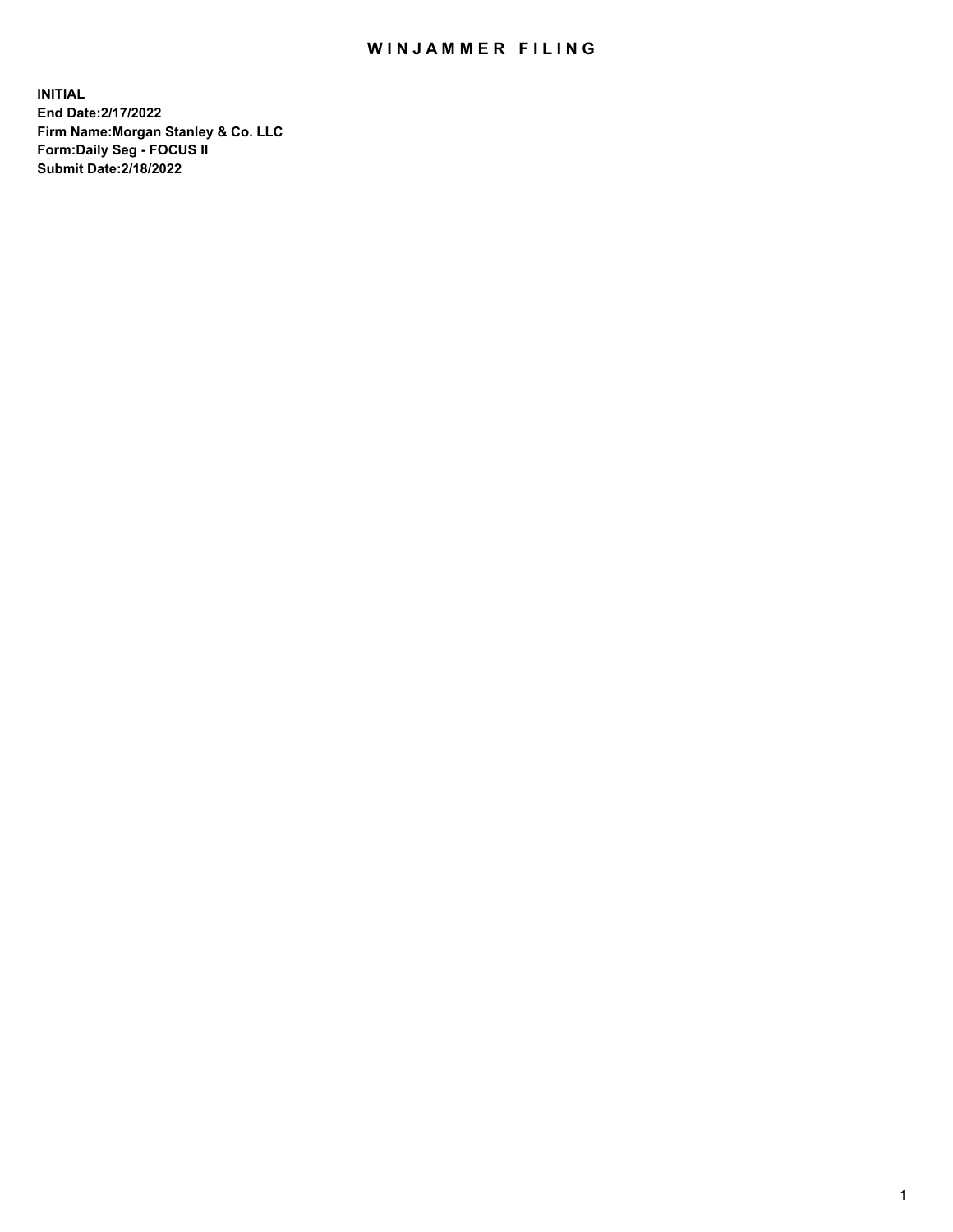## WIN JAMMER FILING

**INITIAL End Date:2/17/2022 Firm Name:Morgan Stanley & Co. LLC Form:Daily Seg - FOCUS II Submit Date:2/18/2022**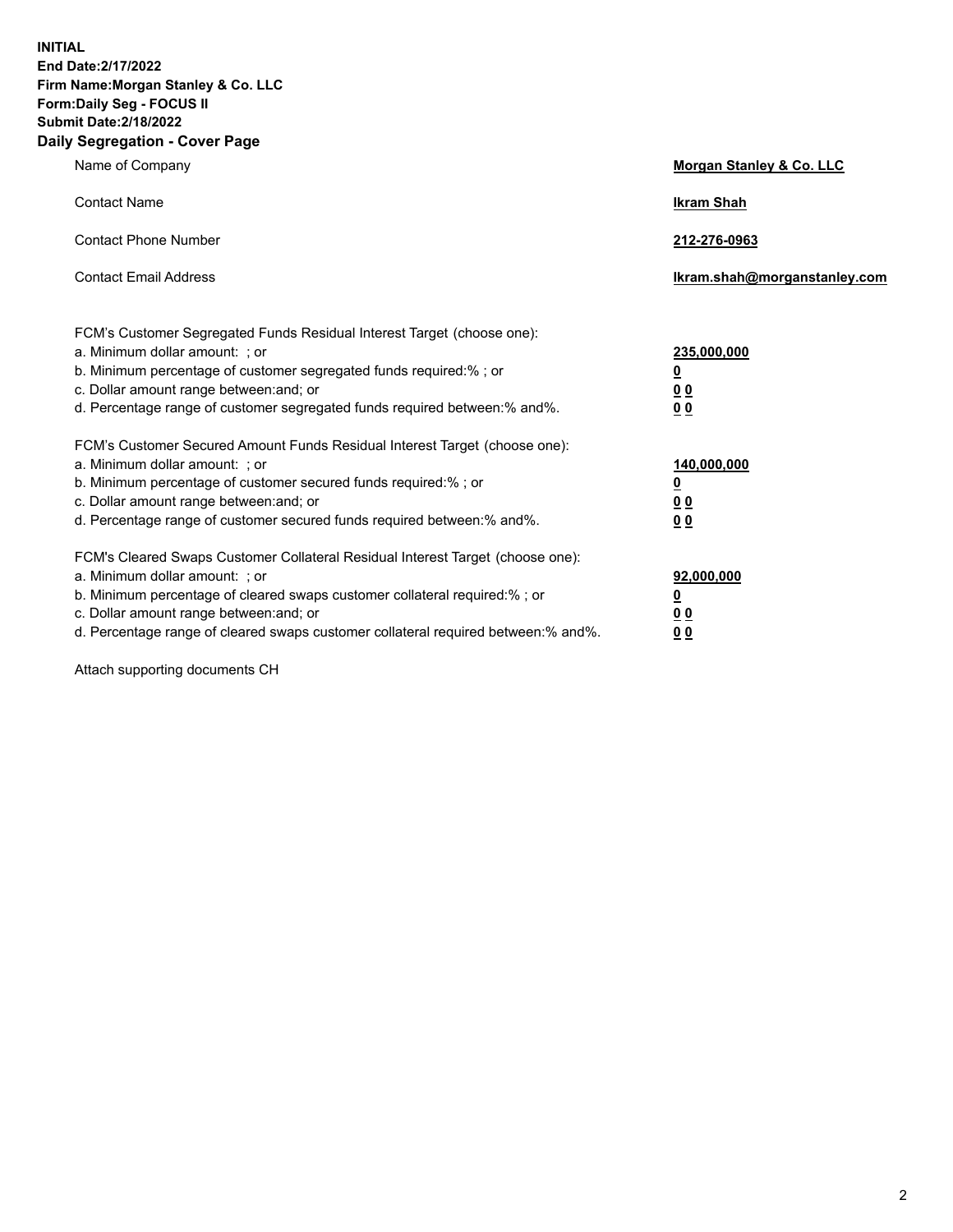**INITIAL End Date:2/17/2022 Firm Name:Morgan Stanley & Co. LLC Form:Daily Seg - FOCUS II Submit Date:2/18/2022 Daily Segregation - Cover Page**

| Name of Company                                                                                                                                                                                                                                                                                                                | Morgan Stanley & Co. LLC                                |
|--------------------------------------------------------------------------------------------------------------------------------------------------------------------------------------------------------------------------------------------------------------------------------------------------------------------------------|---------------------------------------------------------|
| <b>Contact Name</b>                                                                                                                                                                                                                                                                                                            | <b>Ikram Shah</b>                                       |
| <b>Contact Phone Number</b>                                                                                                                                                                                                                                                                                                    | 212-276-0963                                            |
| <b>Contact Email Address</b>                                                                                                                                                                                                                                                                                                   | Ikram.shah@morganstanley.com                            |
| FCM's Customer Segregated Funds Residual Interest Target (choose one):<br>a. Minimum dollar amount: ; or<br>b. Minimum percentage of customer segregated funds required:% ; or<br>c. Dollar amount range between: and; or<br>d. Percentage range of customer segregated funds required between:% and%.                         | 235,000,000<br><u>0</u><br><u>00</u><br><u>00</u>       |
| FCM's Customer Secured Amount Funds Residual Interest Target (choose one):<br>a. Minimum dollar amount: ; or<br>b. Minimum percentage of customer secured funds required:%; or<br>c. Dollar amount range between: and; or<br>d. Percentage range of customer secured funds required between:% and%.                            | 140,000,000<br><u>0</u><br><u>0 0</u><br>0 <sub>0</sub> |
| FCM's Cleared Swaps Customer Collateral Residual Interest Target (choose one):<br>a. Minimum dollar amount: ; or<br>b. Minimum percentage of cleared swaps customer collateral required:% ; or<br>c. Dollar amount range between: and; or<br>d. Percentage range of cleared swaps customer collateral required between:% and%. | 92,000,000<br><u>0</u><br><u>00</u><br>00               |

Attach supporting documents CH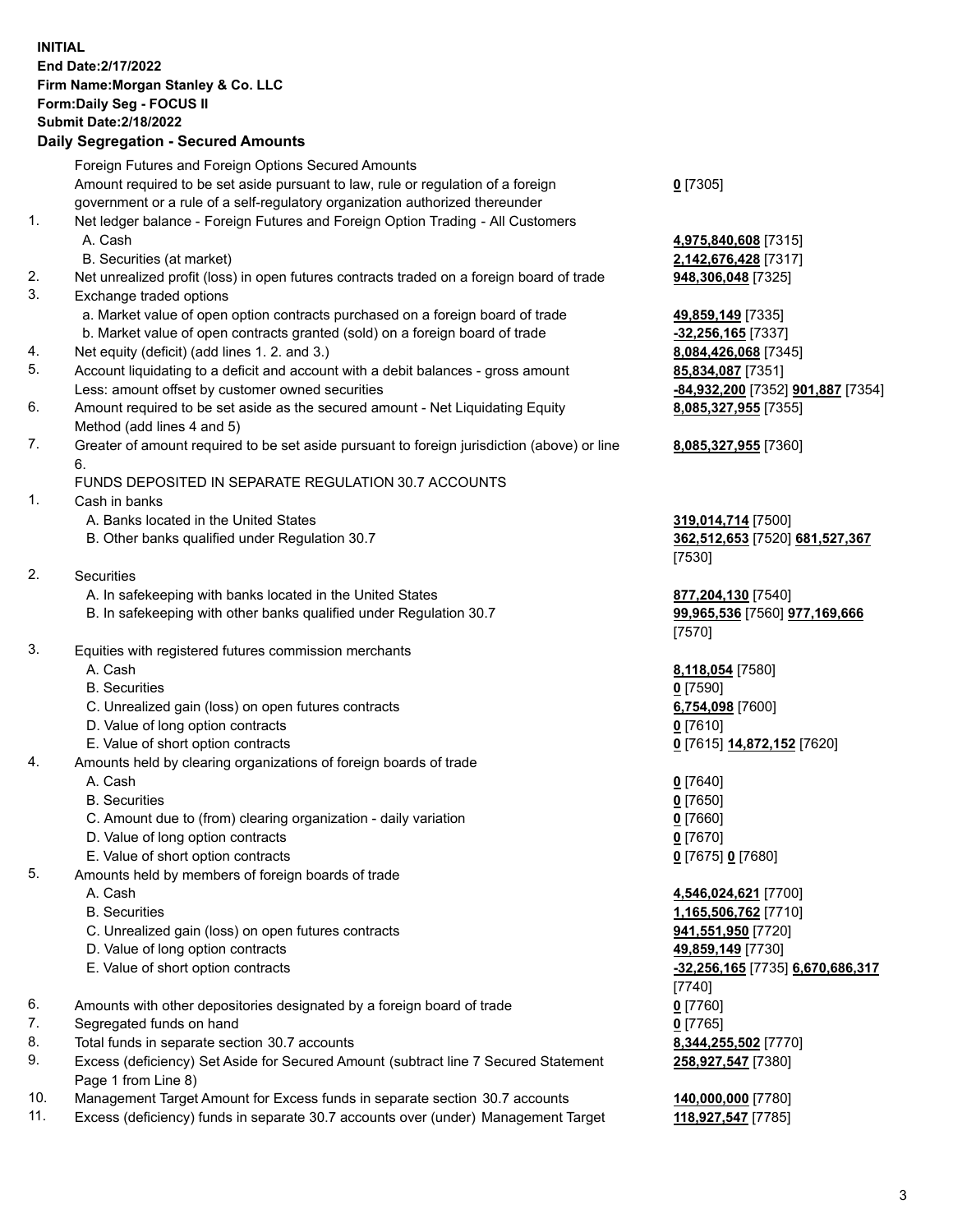## **INITIAL End Date:2/17/2022 Firm Name:Morgan Stanley & Co. LLC Form:Daily Seg - FOCUS II Submit Date:2/18/2022**

## **Daily Segregation - Secured Amounts**

Foreign Futures and Foreign Options Secured Amounts Amount required to be set aside pursuant to law, rule or regulation of a foreign government or a rule of a self-regulatory organization authorized thereunder **0** [7305] 1. Net ledger balance - Foreign Futures and Foreign Option Trading - All Customers A. Cash **4,975,840,608** [7315] B. Securities (at market) **2,142,676,428** [7317] 2. Net unrealized profit (loss) in open futures contracts traded on a foreign board of trade **948,306,048** [7325] 3. Exchange traded options a. Market value of open option contracts purchased on a foreign board of trade **49,859,149** [7335] b. Market value of open contracts granted (sold) on a foreign board of trade **-32,256,165** [7337] 4. Net equity (deficit) (add lines 1. 2. and 3.) **8,084,426,068** [7345] 5. Account liquidating to a deficit and account with a debit balances - gross amount **85,834,087** [7351] Less: amount offset by customer owned securities **-84,932,200** [7352] **901,887** [7354] 6. Amount required to be set aside as the secured amount - Net Liquidating Equity Method (add lines 4 and 5) **8,085,327,955** [7355] 7. Greater of amount required to be set aside pursuant to foreign jurisdiction (above) or line 6. FUNDS DEPOSITED IN SEPARATE REGULATION 30.7 ACCOUNTS 1. Cash in banks A. Banks located in the United States **319,014,714** [7500] B. Other banks qualified under Regulation 30.7 **362,512,653** [7520] **681,527,367** [7530] 2. Securities A. In safekeeping with banks located in the United States **877,204,130** [7540] B. In safekeeping with other banks qualified under Regulation 30.7 **99,965,536** [7560] **977,169,666** [7570] 3. Equities with registered futures commission merchants A. Cash **8,118,054** [7580] B. Securities **0** [7590] C. Unrealized gain (loss) on open futures contracts **6,754,098** [7600] D. Value of long option contracts **0** [7610] E. Value of short option contracts **0** [7615] **14,872,152** [7620] 4. Amounts held by clearing organizations of foreign boards of trade A. Cash **0** [7640] B. Securities **0** [7650] C. Amount due to (from) clearing organization - daily variation **0** [7660] D. Value of long option contracts **0** [7670] E. Value of short option contracts **0** [7675] **0** [7680] 5. Amounts held by members of foreign boards of trade A. Cash **4,546,024,621** [7700] B. Securities **1,165,506,762** [7710] C. Unrealized gain (loss) on open futures contracts **941,551,950** [7720] D. Value of long option contracts **49,859,149** [7730] E. Value of short option contracts **-32,256,165** [7735] **6,670,686,317** [7740] 6. Amounts with other depositories designated by a foreign board of trade **0** [7760] 7. Segregated funds on hand **0** [7765] 8. Total funds in separate section 30.7 accounts **8,344,255,502** [7770] 9. Excess (deficiency) Set Aside for Secured Amount (subtract line 7 Secured Statement Page 1 from Line 8)

- 10. Management Target Amount for Excess funds in separate section 30.7 accounts **140,000,000** [7780]
- 11. Excess (deficiency) funds in separate 30.7 accounts over (under) Management Target **118,927,547** [7785]

**8,085,327,955** [7360]

**258,927,547** [7380]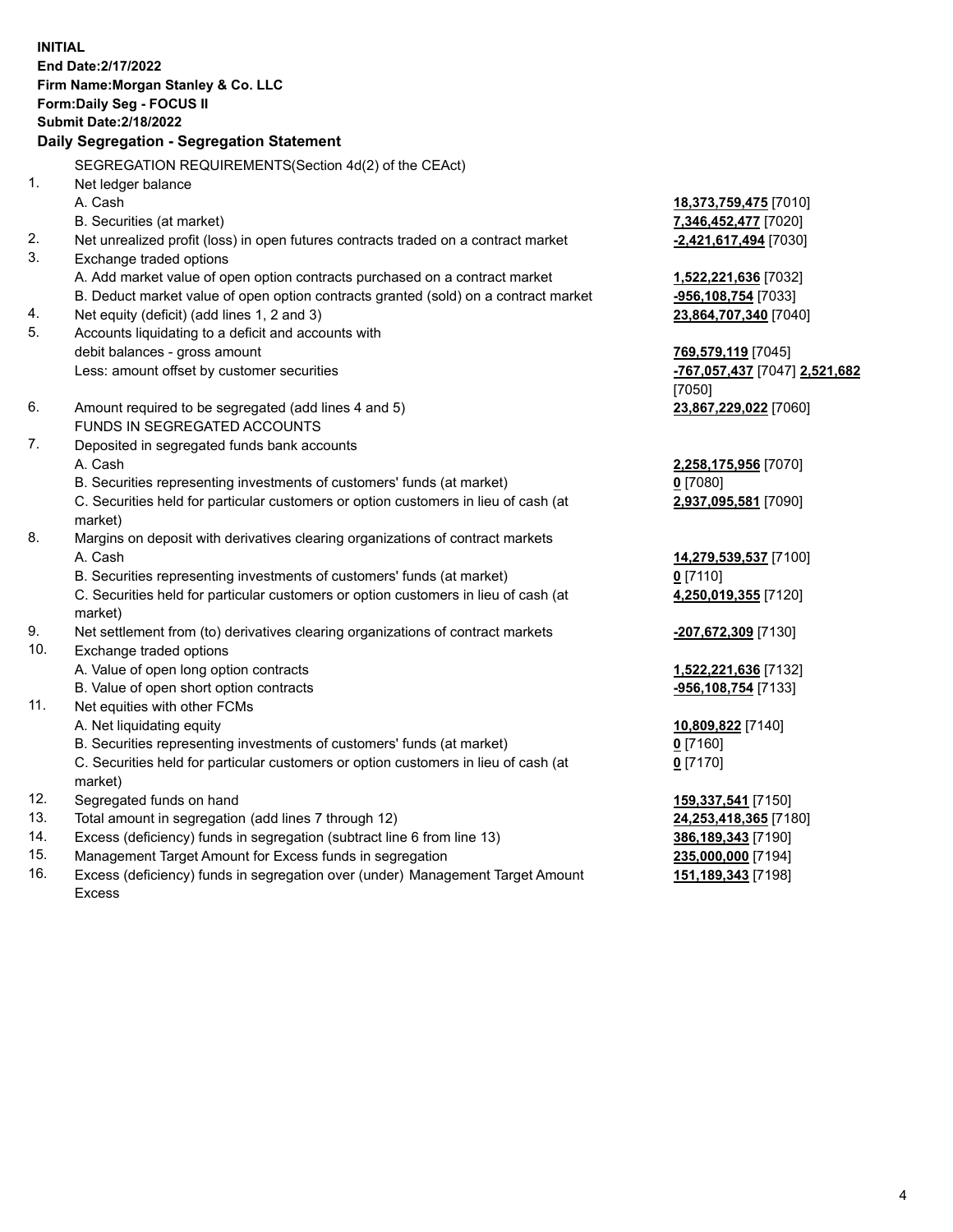**INITIAL End Date:2/17/2022 Firm Name:Morgan Stanley & Co. LLC Form:Daily Seg - FOCUS II Submit Date:2/18/2022 Daily Segregation - Segregation Statement** SEGREGATION REQUIREMENTS(Section 4d(2) of the CEAct) 1. Net ledger balance A. Cash **18,373,759,475** [7010] B. Securities (at market) **7,346,452,477** [7020] 2. Net unrealized profit (loss) in open futures contracts traded on a contract market **-2,421,617,494** [7030] 3. Exchange traded options A. Add market value of open option contracts purchased on a contract market **1,522,221,636** [7032] B. Deduct market value of open option contracts granted (sold) on a contract market **-956,108,754** [7033] 4. Net equity (deficit) (add lines 1, 2 and 3) **23,864,707,340** [7040] 5. Accounts liquidating to a deficit and accounts with debit balances - gross amount **769,579,119** [7045] Less: amount offset by customer securities **-767,057,437** [7047] **2,521,682** [7050] 6. Amount required to be segregated (add lines 4 and 5) **23,867,229,022** [7060] FUNDS IN SEGREGATED ACCOUNTS 7. Deposited in segregated funds bank accounts A. Cash **2,258,175,956** [7070] B. Securities representing investments of customers' funds (at market) **0** [7080] C. Securities held for particular customers or option customers in lieu of cash (at market) **2,937,095,581** [7090] 8. Margins on deposit with derivatives clearing organizations of contract markets A. Cash **14,279,539,537** [7100] B. Securities representing investments of customers' funds (at market) **0** [7110] C. Securities held for particular customers or option customers in lieu of cash (at market) **4,250,019,355** [7120] 9. Net settlement from (to) derivatives clearing organizations of contract markets **-207,672,309** [7130] 10. Exchange traded options A. Value of open long option contracts **1,522,221,636** [7132] B. Value of open short option contracts **-956,108,754** [7133] 11. Net equities with other FCMs A. Net liquidating equity **10,809,822** [7140] B. Securities representing investments of customers' funds (at market) **0** [7160] C. Securities held for particular customers or option customers in lieu of cash (at market) **0** [7170] 12. Segregated funds on hand **159,337,541** [7150] 13. Total amount in segregation (add lines 7 through 12) **24,253,418,365** [7180] 14. Excess (deficiency) funds in segregation (subtract line 6 from line 13) **386,189,343** [7190] 15. Management Target Amount for Excess funds in segregation **235,000,000** [7194]

16. Excess (deficiency) funds in segregation over (under) Management Target Amount Excess

**151,189,343** [7198]